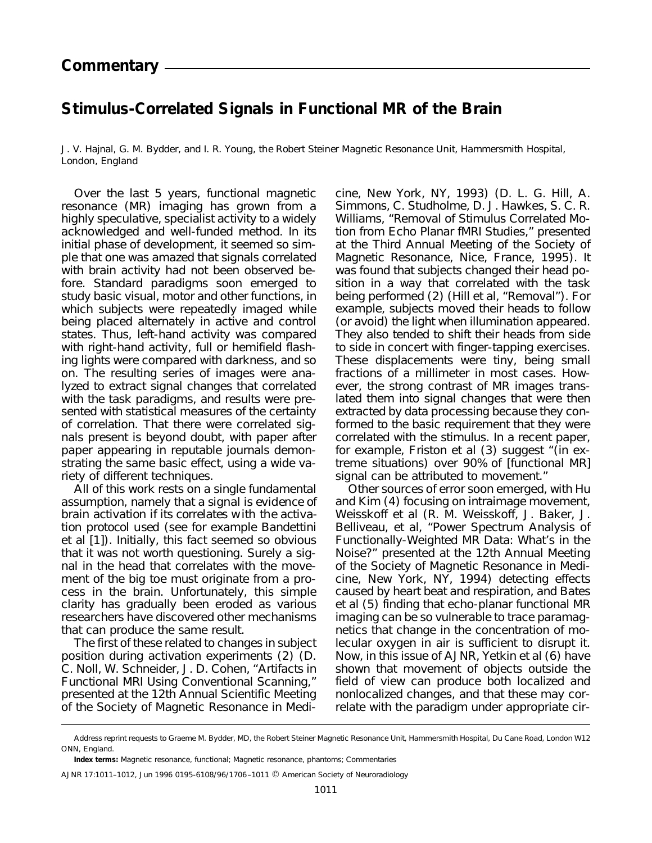## **Stimulus-Correlated Signals in Functional MR of the Brain**

J. V. Hajnal, G. M. Bydder, and I. R. Young, *the Robert Steiner Magnetic Resonance Unit, Hammersmith Hospital, London, England*

Over the last 5 years, functional magnetic resonance (MR) imaging has grown from a highly speculative, specialist activity to a widely acknowledged and well-funded method. In its initial phase of development, it seemed so simple that one was amazed that signals correlated with brain activity had not been observed before. Standard paradigms soon emerged to study basic visual, motor and other functions, in which subjects were repeatedly imaged while being placed alternately in active and control states. Thus, left-hand activity was compared with right-hand activity, full or hemifield flashing lights were compared with darkness, and so on. The resulting series of images were analyzed to extract signal changes that correlated with the task paradigms, and results were presented with statistical measures of the certainty of correlation. That there were correlated signals present is beyond doubt, with paper after paper appearing in reputable journals demonstrating the same basic effect, using a wide variety of different techniques.

All of this work rests on a single fundamental assumption, namely that *a signal is evidence of brain activation if its correlates with the activation protocol used* (see for example Bandettini et al [1]). Initially, this fact seemed so obvious that it was not worth questioning. Surely a signal in the head that correlates with the movement of the big toe must originate from a process in the brain. Unfortunately, this simple clarity has gradually been eroded as various researchers have discovered other mechanisms that can produce the same result.

The first of these related to changes in subject position during activation experiments (2) (D. C. Noll, W. Schneider, J. D. Cohen, "Artifacts in Functional MRI Using Conventional Scanning," presented at the 12th Annual Scientific Meeting of the Society of Magnetic Resonance in Medicine, New York, NY, 1993) (D. L. G. Hill, A. Simmons, C. Studholme, D. J. Hawkes, S. C. R. Williams, "Removal of Stimulus Correlated Motion from Echo Planar fMRI Studies," presented at the Third Annual Meeting of the Society of Magnetic Resonance, Nice, France, 1995). It was found that subjects changed their head position in a way that correlated with the task being performed (2) (Hill et al, "Removal"). For example, subjects moved their heads to follow (or avoid) the light when illumination appeared. They also tended to shift their heads from side to side in concert with finger-tapping exercises. These displacements were tiny, being small fractions of a millimeter in most cases. However, the strong contrast of MR images translated them into signal changes that were then extracted by data processing because they conformed to the basic requirement that they were correlated with the stimulus. In a recent paper, for example, Friston et al (3) suggest "(in extreme situations) over 90% of [functional MR] signal can be attributed to movement."

Other sources of error soon emerged, with Hu and Kim (4) focusing on intraimage movement, Weisskoff et al (R. M. Weisskoff, J. Baker, J. Belliveau, et al, "Power Spectrum Analysis of Functionally-Weighted MR Data: What's in the Noise?" presented at the 12th Annual Meeting of the Society of Magnetic Resonance in Medicine, New York, NY, 1994) detecting effects caused by heart beat and respiration, and Bates et al (5) finding that echo-planar functional MR imaging can be so vulnerable to trace paramagnetics that change in the concentration of molecular oxygen in air is sufficient to disrupt it. Now, in this issue of *AJNR,* Yetkin et al (6) have shown that movement of objects outside the field of view can produce both localized and nonlocalized changes, and that these may correlate with the paradigm under appropriate cir-

Address reprint requests to Graeme M. Bydder, MD, the Robert Steiner Magnetic Resonance Unit, Hammersmith Hospital, Du Cane Road, London W12 ONN, England.

**Index terms:** Magnetic resonance, functional; Magnetic resonance, phantoms; Commentaries

AJNR 17:1011-1012, Jun 1996 0195-6108/96/1706-1011 © American Society of Neuroradiology